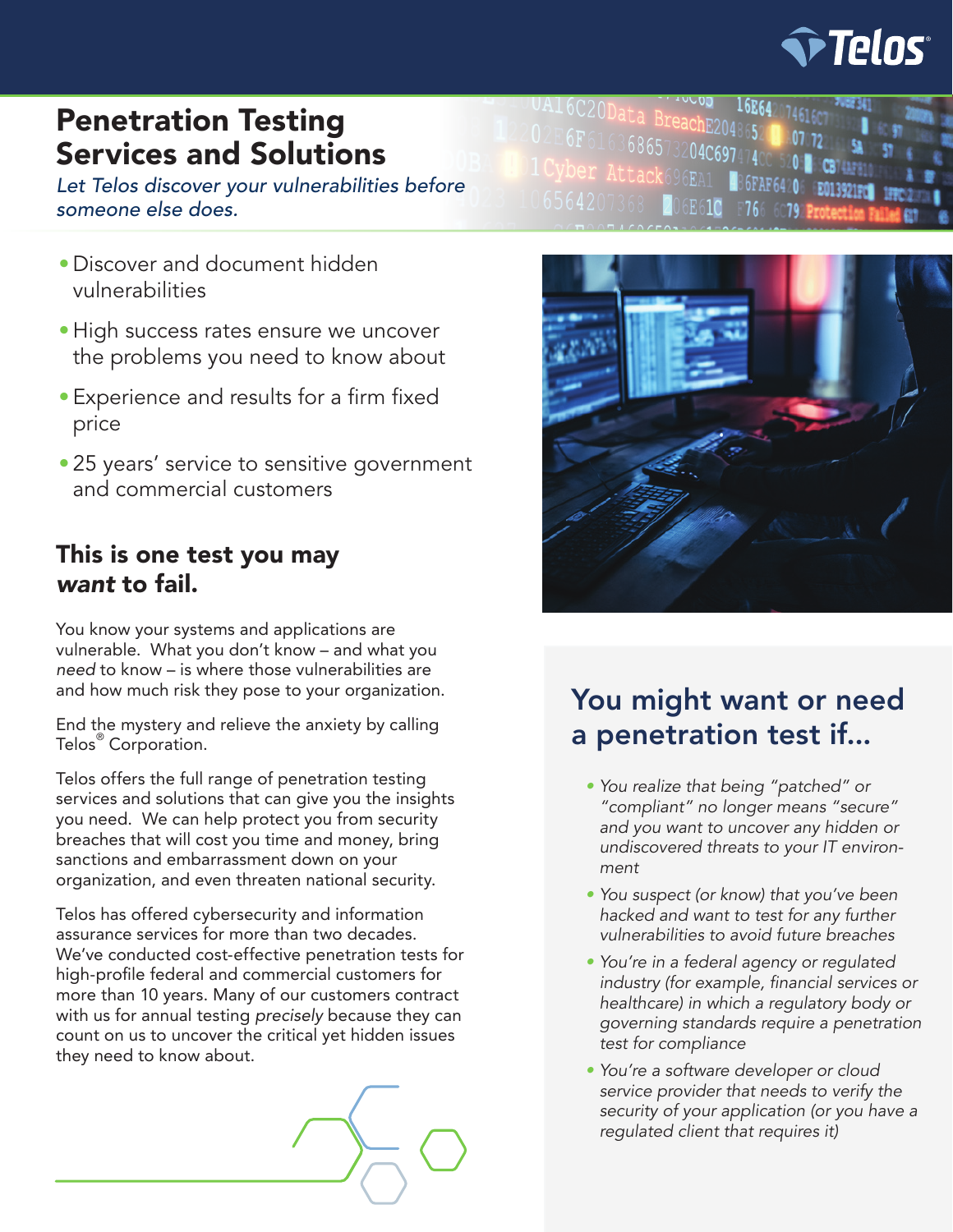

# Penetration Testing Services and Solutions

*Let Telos discover your vulnerabilities before someone else does.*

- •Discover and document hidden vulnerabilities
- •High success rates ensure we uncover the problems you need to know about
- •Experience and results for a firm fixed price
- 25 years' service to sensitive government and commercial customers

### This is one test you may *want* to fail.

You know your systems and applications are vulnerable. What you don't know – and what you *need* to know – is where those vulnerabilities are and how much risk they pose to your organization.

End the mystery and relieve the anxiety by calling Telos® Corporation.

Telos offers the full range of penetration testing services and solutions that can give you the insights you need. We can help protect you from security breaches that will cost you time and money, bring sanctions and embarrassment down on your organization, and even threaten national security.

Telos has offered cybersecurity and information assurance services for more than two decades. We've conducted cost-effective penetration tests for high-profile federal and commercial customers for more than 10 years. Many of our customers contract with us for annual testing *precisely* because they can count on us to uncover the critical yet hidden issues they need to know about.



 $76$ 

UA16C20Data BreachE2048652<br>02E6F616368653384552048652 E6F6163686573204C6974

6E61C

# You might want or need a penetration test if...

- *• You realize that being "patched" or "compliant" no longer means "secure" and you want to uncover any hidden or undiscovered threats to your IT environment*
- *• You suspect (or know) that you've been hacked and want to test for any further vulnerabilities to avoid future breaches*
- *• You're in a federal agency or regulated*  industry (for example, financial services or *healthcare) in which a regulatory body or governing standards require a penetration test for compliance*
- *• You're a software developer or cloud service provider that needs to verify the security of your application (or you have a regulated client that requires it)*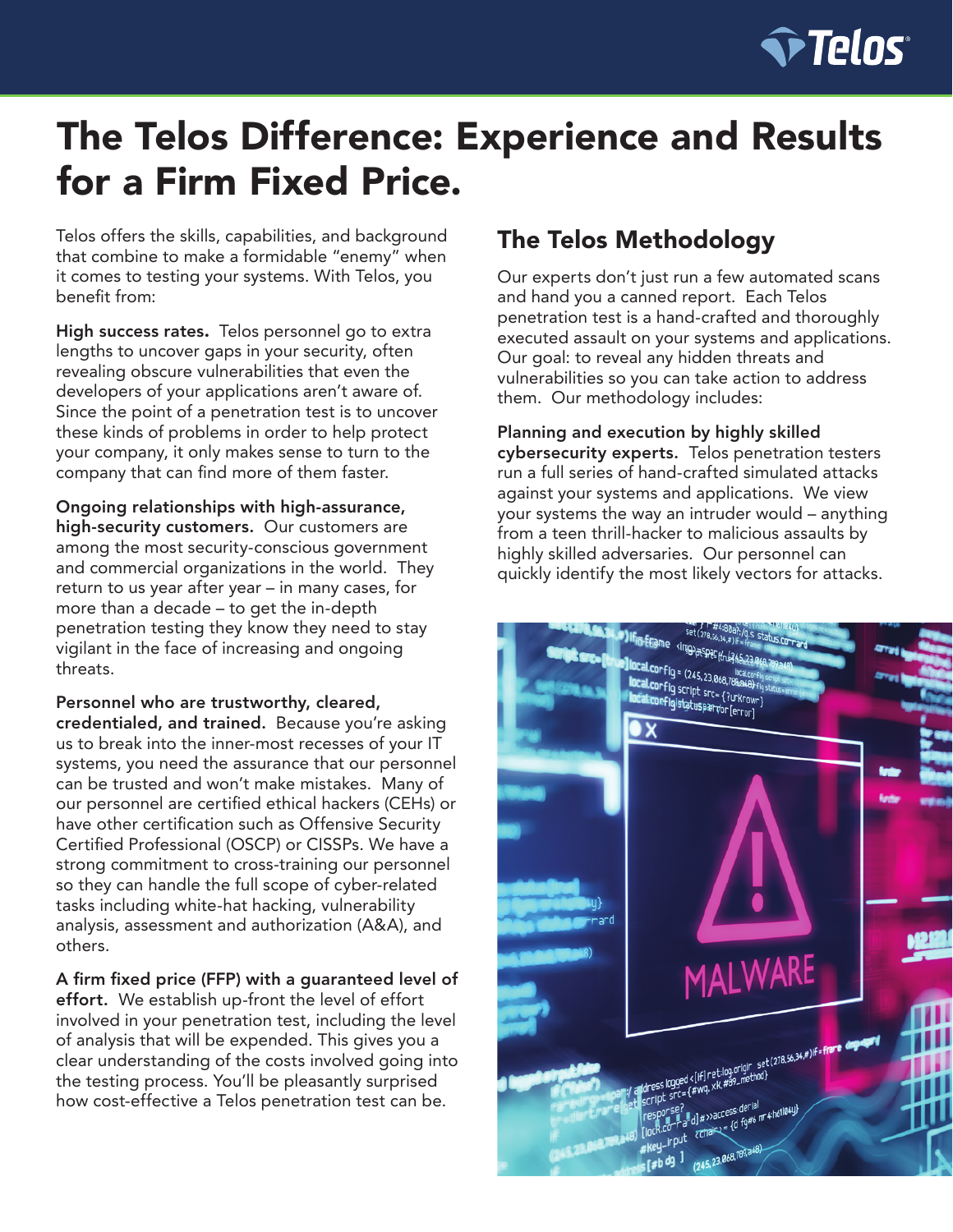

# The Telos Difference: Experience and Results for a Firm Fixed Price.

Telos offers the skills, capabilities, and background that combine to make a formidable "enemy" when it comes to testing your systems. With Telos, you benefit from:

High success rates. Telos personnel go to extra lengths to uncover gaps in your security, often revealing obscure vulnerabilities that even the developers of your applications aren't aware of. Since the point of a penetration test is to uncover these kinds of problems in order to help protect your company, it only makes sense to turn to the company that can find more of them faster.

Ongoing relationships with high-assurance, high-security customers. Our customers are among the most security-conscious government and commercial organizations in the world. They return to us year after year – in many cases, for more than a decade – to get the in-depth penetration testing they know they need to stay vigilant in the face of increasing and ongoing threats.

Personnel who are trustworthy, cleared, credentialed, and trained. Because you're asking us to break into the inner-most recesses of your IT systems, you need the assurance that our personnel can be trusted and won't make mistakes. Many of our personnel are certified ethical hackers (CEHs) or have other certification such as Offensive Security Certified Professional (OSCP) or CISSPs. We have a strong commitment to cross-training our personnel so they can handle the full scope of cyber-related tasks including white-hat hacking, vulnerability analysis, assessment and authorization (A&A), and others.

A firm fixed price (FFP) with a guaranteed level of effort. We establish up-front the level of effort involved in your penetration test, including the level of analysis that will be expended. This gives you a clear understanding of the costs involved going into the testing process. You'll be pleasantly surprised how cost-effective a Telos penetration test can be.

## The Telos Methodology

Our experts don't just run a few automated scans and hand you a canned report. Each Telos penetration test is a hand-crafted and thoroughly executed assault on your systems and applications. Our goal: to reveal any hidden threats and vulnerabilities so you can take action to address them. Our methodology includes:

Planning and execution by highly skilled cybersecurity experts. Telos penetration testers run a full series of hand-crafted simulated attacks against your systems and applications. We view your systems the way an intruder would – anything from a teen thrill-hacker to malicious assaults by highly skilled adversaries. Our personnel can quickly identify the most likely vectors for attacks.

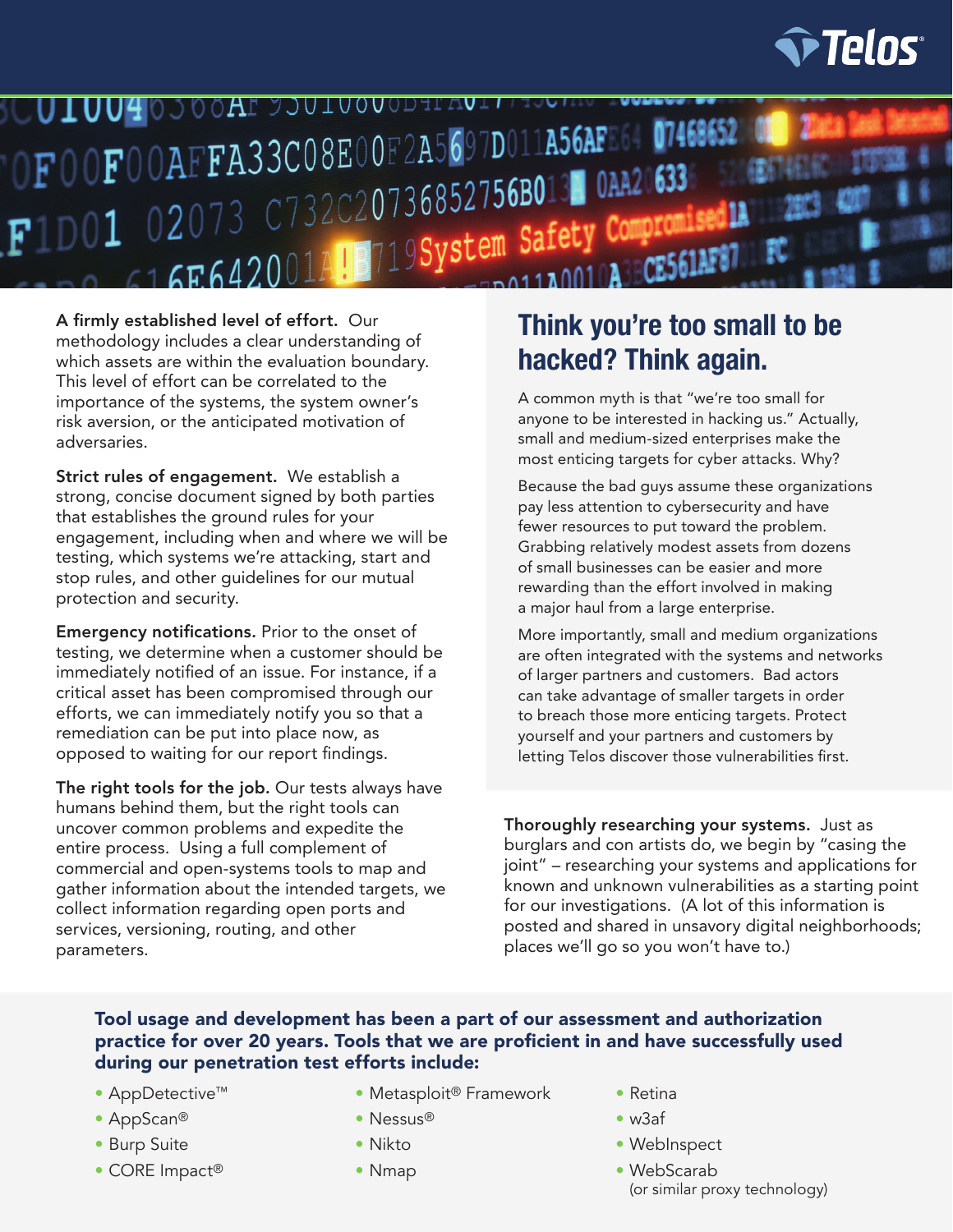

DOAF JOUTOODODHI UIUUIO FOOFOOAFFA33CO8E00F2A5697D011A56AFE64 07468652 T1D01 02073 C732C20736852756B013 0AA20633 02073 C732C20730032730D0102 Compromi<br>16E642001ALB719System Safety Compromi

A firmly established level of effort. Our methodology includes a clear understanding of which assets are within the evaluation boundary. This level of effort can be correlated to the importance of the systems, the system owner's risk aversion, or the anticipated motivation of adversaries.

Strict rules of engagement. We establish a strong, concise document signed by both parties that establishes the ground rules for your engagement, including when and where we will be testing, which systems we're attacking, start and stop rules, and other guidelines for our mutual protection and security.

Emergency notifications. Prior to the onset of testing, we determine when a customer should be immediately notified of an issue. For instance, if a critical asset has been compromised through our efforts, we can immediately notify you so that a remediation can be put into place now, as opposed to waiting for our report findings.

The right tools for the job. Our tests always have humans behind them, but the right tools can uncover common problems and expedite the entire process. Using a full complement of commercial and open-systems tools to map and gather information about the intended targets, we collect information regarding open ports and services, versioning, routing, and other parameters.

# **Think you're too small to be hacked? Think again.**

A common myth is that "we're too small for anyone to be interested in hacking us." Actually, small and medium-sized enterprises make the most enticing targets for cyber attacks. Why?

Because the bad guys assume these organizations pay less attention to cybersecurity and have fewer resources to put toward the problem. Grabbing relatively modest assets from dozens of small businesses can be easier and more rewarding than the effort involved in making a major haul from a large enterprise.

More importantly, small and medium organizations are often integrated with the systems and networks of larger partners and customers. Bad actors can take advantage of smaller targets in order to breach those more enticing targets. Protect yourself and your partners and customers by letting Telos discover those vulnerabilities first.

Thoroughly researching your systems. Just as burglars and con artists do, we begin by "casing the joint" – researching your systems and applications for known and unknown vulnerabilities as a starting point for our investigations. (A lot of this information is posted and shared in unsavory digital neighborhoods; places we'll go so you won't have to.)

#### Tool usage and development has been a part of our assessment and authorization practice for over 20 years. Tools that we are proficient in and have successfully used during our penetration test efforts include:

- AppDetective™
- AppScan®
- Burp Suite
- CORE Impact®
- Metasploit® Framework
- Nessus®
- Nikto
- Nmap
- Retina
- w3af
- WebInspect
- WebScarab (or similar proxy technology)